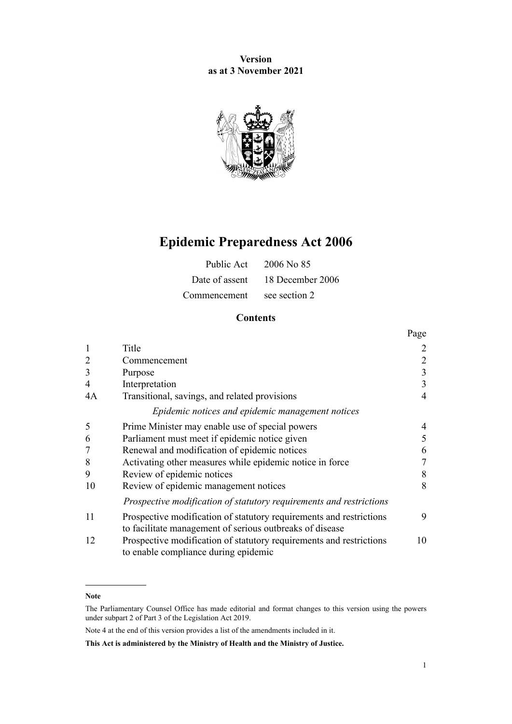**Version as at 3 November 2021**



# **Epidemic Preparedness Act 2006**

|                            | Public Act 2006 No 85           |
|----------------------------|---------------------------------|
|                            | Date of assent 18 December 2006 |
| Commencement see section 2 |                                 |

# **Contents**

|                |                                                                                                                                 | Page           |
|----------------|---------------------------------------------------------------------------------------------------------------------------------|----------------|
| $\mathbf{1}$   | Title                                                                                                                           | $\overline{2}$ |
| $\overline{2}$ | Commencement                                                                                                                    | $\overline{2}$ |
| 3              | Purpose                                                                                                                         | $\mathfrak{Z}$ |
| $\overline{4}$ | Interpretation                                                                                                                  | 3              |
| 4A             | Transitional, savings, and related provisions                                                                                   | $\overline{4}$ |
|                | Epidemic notices and epidemic management notices                                                                                |                |
| 5              | Prime Minister may enable use of special powers                                                                                 | 4              |
| 6              | Parliament must meet if epidemic notice given                                                                                   | 5              |
|                | Renewal and modification of epidemic notices                                                                                    | 6              |
| 8              | Activating other measures while epidemic notice in force                                                                        | 7              |
| 9              | Review of epidemic notices                                                                                                      | 8              |
| 10             | Review of epidemic management notices                                                                                           | 8              |
|                | Prospective modification of statutory requirements and restrictions                                                             |                |
| 11             | Prospective modification of statutory requirements and restrictions<br>to facilitate management of serious outbreaks of disease | 9              |
| 12             | Prospective modification of statutory requirements and restrictions<br>to enable compliance during epidemic                     | 10             |

#### **Note**

The Parliamentary Counsel Office has made editorial and format changes to this version using the powers under [subpart 2](http://legislation.govt.nz/pdflink.aspx?id=DLM7298371) of Part 3 of the Legislation Act 2019.

Note 4 at the end of this version provides a list of the amendments included in it.

**This Act is administered by the Ministry of Health and the Ministry of Justice.**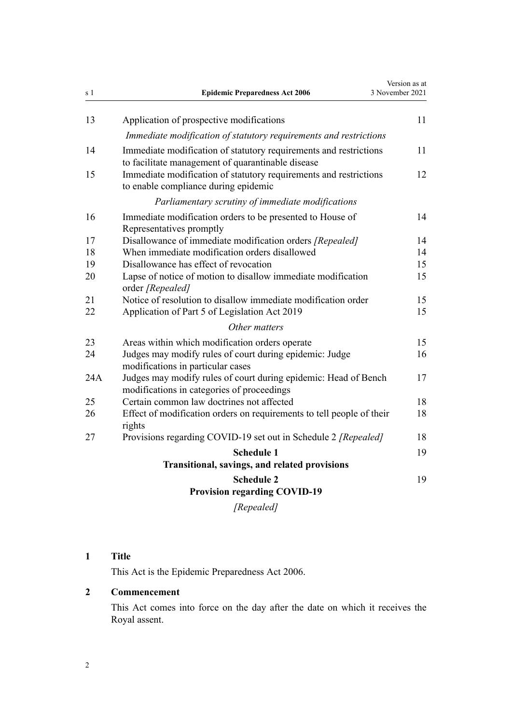<span id="page-1-0"></span>

| s 1      | <b>Epidemic Preparedness Act 2006</b>                                                                                  | Version as at<br>3 November 2021 |
|----------|------------------------------------------------------------------------------------------------------------------------|----------------------------------|
| 13       | Application of prospective modifications                                                                               | 11                               |
|          | Immediate modification of statutory requirements and restrictions                                                      |                                  |
| 14       | Immediate modification of statutory requirements and restrictions<br>to facilitate management of quarantinable disease | 11                               |
| 15       | Immediate modification of statutory requirements and restrictions<br>to enable compliance during epidemic              | 12                               |
|          | Parliamentary scrutiny of immediate modifications                                                                      |                                  |
| 16       | Immediate modification orders to be presented to House of<br>Representatives promptly                                  | 14                               |
| 17       | Disallowance of immediate modification orders [Repealed]                                                               | 14                               |
| 18       | When immediate modification orders disallowed                                                                          | 14                               |
| 19       | Disallowance has effect of revocation                                                                                  | 15                               |
| 20       | Lapse of notice of motion to disallow immediate modification<br>order [Repealed]                                       | 15                               |
| 21<br>22 | Notice of resolution to disallow immediate modification order<br>Application of Part 5 of Legislation Act 2019         | 15<br>15                         |
|          | Other matters                                                                                                          |                                  |
| 23       | Areas within which modification orders operate                                                                         | 15                               |
| 24       | Judges may modify rules of court during epidemic: Judge<br>modifications in particular cases                           | 16                               |
| 24 A     | Judges may modify rules of court during epidemic: Head of Bench<br>modifications in categories of proceedings          | 17                               |
| 25       | Certain common law doctrines not affected                                                                              | 18                               |
| 26       | Effect of modification orders on requirements to tell people of their<br>rights                                        | 18                               |
| 27       | Provisions regarding COVID-19 set out in Schedule 2 [Repealed]                                                         | 18                               |
|          | <b>Schedule 1</b>                                                                                                      | 19                               |
|          | Transitional, savings, and related provisions                                                                          |                                  |
|          | <b>Schedule 2</b><br><b>Provision regarding COVID-19</b>                                                               | 19                               |

# *[Repealed]*

# **1 Title**

This Act is the Epidemic Preparedness Act 2006.

# **2 Commencement**

This Act comes into force on the day after the date on which it receives the Royal assent.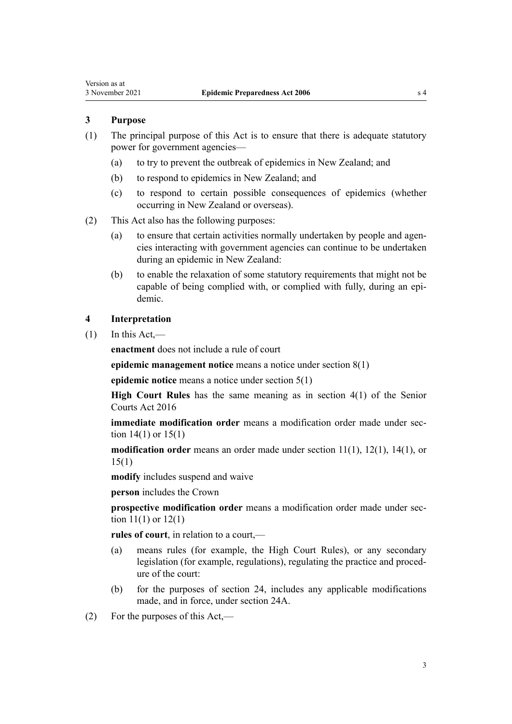# <span id="page-2-0"></span>**3 Purpose**

- (1) The principal purpose of this Act is to ensure that there is adequate statutory power for government agencies—
	- (a) to try to prevent the outbreak of epidemics in New Zealand; and
	- (b) to respond to epidemics in New Zealand; and
	- (c) to respond to certain possible consequences of epidemics (whether occurring in New Zealand or overseas).
- (2) This Act also has the following purposes:
	- (a) to ensure that certain activities normally undertaken by people and agencies interacting with government agencies can continue to be undertaken during an epidemic in New Zealand:
	- (b) to enable the relaxation of some statutory requirements that might not be capable of being complied with, or complied with fully, during an epidemic.

# **4 Interpretation**

 $(1)$  In this Act,—

**enactment** does not include a rule of court

**epidemic management notice** means a notice under [section 8\(1\)](#page-6-0)

**epidemic notice** means a notice under [section 5\(1\)](#page-3-0)

**High Court Rules** has the same meaning as in [section 4\(1\)](http://legislation.govt.nz/pdflink.aspx?id=DLM5759270) of the Senior Courts Act 2016

**immediate modification order** means a modification order made under section  $14(1)$  or  $15(1)$ 

**modification order** means an order made under [section 11\(1\)](#page-8-0), [12\(1\)](#page-9-0), [14\(1\)](#page-10-0), or [15\(1\)](#page-11-0)

**modify** includes suspend and waive

**person** includes the Crown

**prospective modification order** means a modification order made under sec[tion 11\(1\)](#page-8-0) or [12\(1\)](#page-9-0)

**rules of court**, in relation to a court,—

- (a) means rules (for example, the High Court Rules), or any secondary legislation (for example, regulations), regulating the practice and proced‐ ure of the court:
- (b) for the purposes of [section 24](#page-15-0), includes any applicable modifications made, and in force, under [section 24A.](#page-16-0)
- (2) For the purposes of this Act,—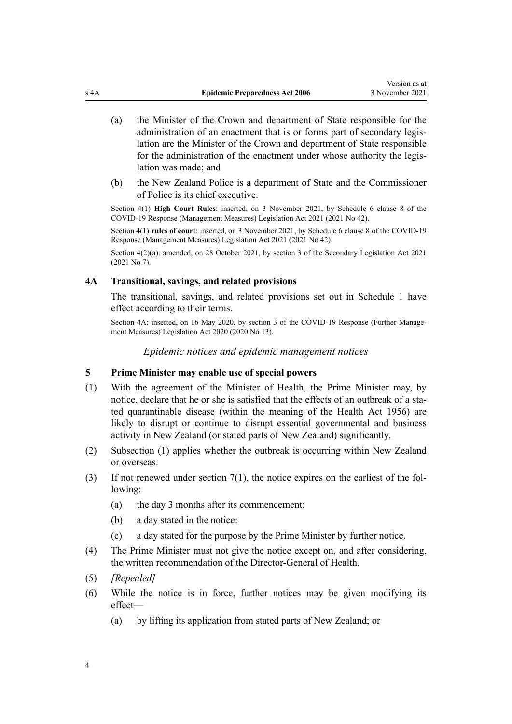- <span id="page-3-0"></span>(a) the Minister of the Crown and department of State responsible for the administration of an enactment that is or forms part of secondary legislation are the Minister of the Crown and department of State responsible for the administration of the enactment under whose authority the legislation was made; and
- (b) the New Zealand Police is a department of State and the Commissioner of Police is its chief executive.

Section 4(1) **High Court Rules**: inserted, on 3 November 2021, by Schedule 6 [clause 8](http://legislation.govt.nz/pdflink.aspx?id=LMS565145) of the COVID-19 Response (Management Measures) Legislation Act 2021 (2021 No 42).

Section 4(1) **rules of court**: inserted, on 3 November 2021, by Schedule 6 [clause 8](http://legislation.govt.nz/pdflink.aspx?id=LMS565145) of the COVID-19 Response (Management Measures) Legislation Act 2021 (2021 No 42).

Section 4(2)(a): amended, on 28 October 2021, by [section 3](http://legislation.govt.nz/pdflink.aspx?id=LMS268932) of the Secondary Legislation Act 2021 (2021 No 7).

# **4A Transitional, savings, and related provisions**

The transitional, savings, and related provisions set out in [Schedule 1](#page-18-0) have effect according to their terms.

Section 4A: inserted, on 16 May 2020, by [section 3](http://legislation.govt.nz/pdflink.aspx?id=LMS339374) of the COVID-19 Response (Further Management Measures) Legislation Act 2020 (2020 No 13).

*Epidemic notices and epidemic management notices*

# **5 Prime Minister may enable use of special powers**

- (1) With the agreement of the Minister of Health, the Prime Minister may, by notice, declare that he or she is satisfied that the effects of an outbreak of a stated quarantinable disease (within the meaning of the [Health Act 1956\)](http://legislation.govt.nz/pdflink.aspx?id=DLM305839) are likely to disrupt or continue to disrupt essential governmental and business activity in New Zealand (or stated parts of New Zealand) significantly.
- (2) Subsection (1) applies whether the outbreak is occurring within New Zealand or overseas.
- (3) If not renewed under section  $7(1)$ , the notice expires on the earliest of the following:
	- (a) the day 3 months after its commencement:
	- (b) a day stated in the notice:
	- (c) a day stated for the purpose by the Prime Minister by further notice.
- (4) The Prime Minister must not give the notice except on, and after considering, the written recommendation of the Director-General of Health.
- (5) *[Repealed]*
- (6) While the notice is in force, further notices may be given modifying its effect—
	- (a) by lifting its application from stated parts of New Zealand; or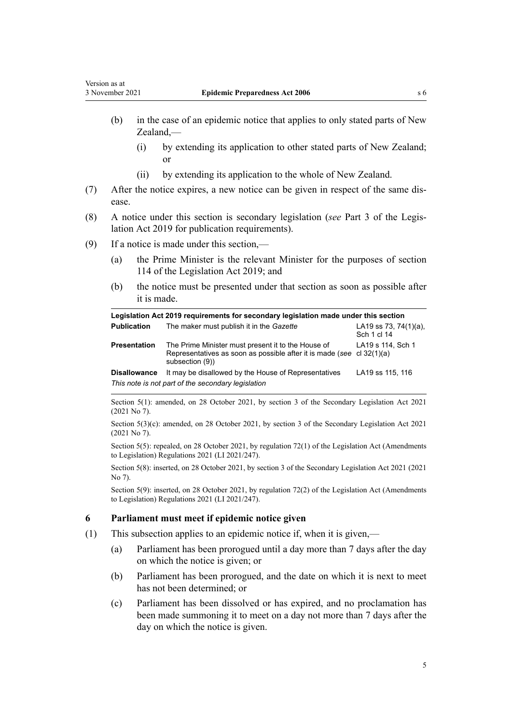- <span id="page-4-0"></span>(b) in the case of an epidemic notice that applies to only stated parts of New
	- (i) by extending its application to other stated parts of New Zealand; or
	- (ii) by extending its application to the whole of New Zealand.
- (7) After the notice expires, a new notice can be given in respect of the same dis‐ ease.
- (8) A notice under this section is secondary legislation (*see* [Part 3](http://legislation.govt.nz/pdflink.aspx?id=DLM7298343) of the Legis‐ lation Act 2019 for publication requirements).
- (9) If a notice is made under this section,—

Zealand,—

- (a) the Prime Minister is the relevant Minister for the purposes of [section](http://legislation.govt.nz/pdflink.aspx?id=DLM7298429) [114](http://legislation.govt.nz/pdflink.aspx?id=DLM7298429) of the Legislation Act 2019; and
- (b) the notice must be presented under that section as soon as possible after it is made.

| Legislation Act 2019 requirements for secondary legislation made under this section |                                                                                                                                                |                                          |  |
|-------------------------------------------------------------------------------------|------------------------------------------------------------------------------------------------------------------------------------------------|------------------------------------------|--|
| <b>Publication</b>                                                                  | The maker must publish it in the Gazette                                                                                                       | LA19 ss 73, 74 $(1)(a)$ ,<br>Sch 1 cl 14 |  |
| <b>Presentation</b>                                                                 | The Prime Minister must present it to the House of<br>Representatives as soon as possible after it is made (see cl 32(1)(a)<br>subsection (9)) | LA19 s 114, Sch 1                        |  |
| <b>Disallowance</b>                                                                 | It may be disallowed by the House of Representatives<br>This note is not part of the secondary legislation                                     | LA19 ss 115, 116                         |  |

Section 5(1): amended, on 28 October 2021, by [section 3](http://legislation.govt.nz/pdflink.aspx?id=LMS268932) of the Secondary Legislation Act 2021 (2021 No 7).

Section 5(3)(c): amended, on 28 October 2021, by [section 3](http://legislation.govt.nz/pdflink.aspx?id=LMS268932) of the Secondary Legislation Act 2021 (2021 No 7).

Section 5(5): repealed, on 28 October 2021, by [regulation 72\(1\)](http://legislation.govt.nz/pdflink.aspx?id=LMS508197) of the Legislation Act (Amendments to Legislation) Regulations 2021 (LI 2021/247).

Section 5(8): inserted, on 28 October 2021, by [section 3](http://legislation.govt.nz/pdflink.aspx?id=LMS268932) of the Secondary Legislation Act 2021 (2021 No 7).

Section 5(9): inserted, on 28 October 2021, by [regulation 72\(2\)](http://legislation.govt.nz/pdflink.aspx?id=LMS508197) of the Legislation Act (Amendments to Legislation) Regulations 2021 (LI 2021/247).

### **6 Parliament must meet if epidemic notice given**

- (1) This subsection applies to an epidemic notice if, when it is given,—
	- (a) Parliament has been prorogued until a day more than 7 days after the day on which the notice is given; or
	- (b) Parliament has been prorogued, and the date on which it is next to meet has not been determined; or
	- (c) Parliament has been dissolved or has expired, and no proclamation has been made summoning it to meet on a day not more than 7 days after the day on which the notice is given.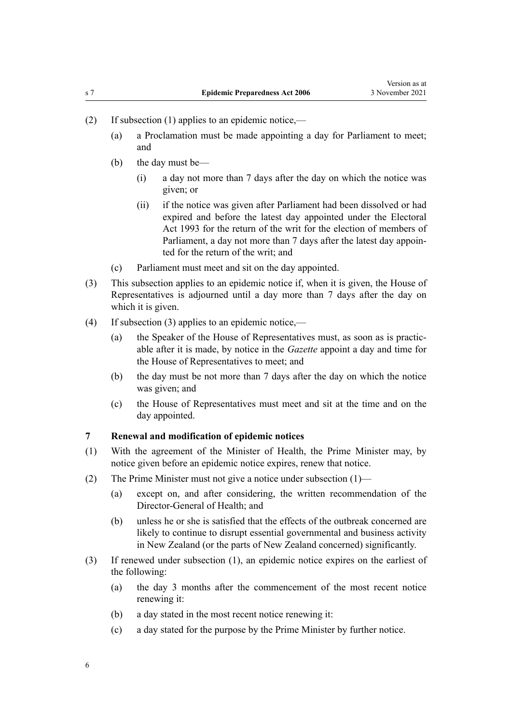- <span id="page-5-0"></span>(2) If subsection (1) applies to an epidemic notice,—
	- (a) a Proclamation must be made appointing a day for Parliament to meet; and
	- (b) the day must be—
		- (i) a day not more than 7 days after the day on which the notice was given; or
		- (ii) if the notice was given after Parliament had been dissolved or had expired and before the latest day appointed under the [Electoral](http://legislation.govt.nz/pdflink.aspx?id=DLM307518) [Act 1993](http://legislation.govt.nz/pdflink.aspx?id=DLM307518) for the return of the writ for the election of members of Parliament, a day not more than 7 days after the latest day appoin‐ ted for the return of the writ; and
	- (c) Parliament must meet and sit on the day appointed.
- (3) This subsection applies to an epidemic notice if, when it is given, the House of Representatives is adjourned until a day more than 7 days after the day on which it is given.
- (4) If subsection (3) applies to an epidemic notice,—
	- (a) the Speaker of the House of Representatives must, as soon as is practic‐ able after it is made, by notice in the *Gazette* appoint a day and time for the House of Representatives to meet; and
	- (b) the day must be not more than 7 days after the day on which the notice was given; and
	- (c) the House of Representatives must meet and sit at the time and on the day appointed.

# **7 Renewal and modification of epidemic notices**

- (1) With the agreement of the Minister of Health, the Prime Minister may, by notice given before an epidemic notice expires, renew that notice.
- (2) The Prime Minister must not give a notice under subsection (1)—
	- (a) except on, and after considering, the written recommendation of the Director-General of Health; and
	- (b) unless he or she is satisfied that the effects of the outbreak concerned are likely to continue to disrupt essential governmental and business activity in New Zealand (or the parts of New Zealand concerned) significantly.
- (3) If renewed under subsection (1), an epidemic notice expires on the earliest of the following:
	- (a) the day 3 months after the commencement of the most recent notice renewing it:
	- (b) a day stated in the most recent notice renewing it:
	- (c) a day stated for the purpose by the Prime Minister by further notice.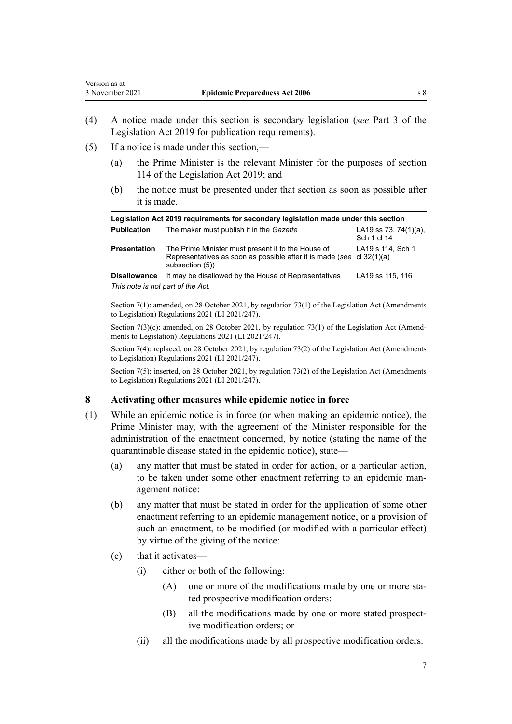- <span id="page-6-0"></span>(4) A notice made under this section is secondary legislation (*see* [Part 3](http://legislation.govt.nz/pdflink.aspx?id=DLM7298343) of the Legislation Act 2019 for publication requirements).
- (5) If a notice is made under this section,—
	- (a) the Prime Minister is the relevant Minister for the purposes of [section](http://legislation.govt.nz/pdflink.aspx?id=DLM7298429) [114](http://legislation.govt.nz/pdflink.aspx?id=DLM7298429) of the Legislation Act 2019; and
	- (b) the notice must be presented under that section as soon as possible after it is made.

| Legislation Act 2019 requirements for secondary legislation made under this section |                                                                                                                                                    |                                          |
|-------------------------------------------------------------------------------------|----------------------------------------------------------------------------------------------------------------------------------------------------|------------------------------------------|
| <b>Publication</b>                                                                  | The maker must publish it in the Gazette                                                                                                           | LA19 ss 73, 74 $(1)(a)$ ,<br>Sch 1 cl 14 |
| <b>Presentation</b>                                                                 | The Prime Minister must present it to the House of<br>Representatives as soon as possible after it is made (see cl $32(1)(a)$ )<br>subsection (5)) | LA19 s 114, Sch 1                        |
| <b>Disallowance</b>                                                                 | It may be disallowed by the House of Representatives                                                                                               | LA19 ss 115, 116                         |
| This note is not part of the Act.                                                   |                                                                                                                                                    |                                          |

Section 7(1): amended, on 28 October 2021, by [regulation 73\(1\)](http://legislation.govt.nz/pdflink.aspx?id=LMS504815) of the Legislation Act (Amendments to Legislation) Regulations 2021 (LI 2021/247).

Section 7(3)(c): amended, on 28 October 2021, by [regulation 73\(1\)](http://legislation.govt.nz/pdflink.aspx?id=LMS504815) of the Legislation Act (Amendments to Legislation) Regulations 2021 (LI 2021/247).

Section 7(4): replaced, on 28 October 2021, by [regulation 73\(2\)](http://legislation.govt.nz/pdflink.aspx?id=LMS504815) of the Legislation Act (Amendments to Legislation) Regulations 2021 (LI 2021/247).

Section 7(5): inserted, on 28 October 2021, by [regulation 73\(2\)](http://legislation.govt.nz/pdflink.aspx?id=LMS504815) of the Legislation Act (Amendments to Legislation) Regulations 2021 (LI 2021/247).

### **8 Activating other measures while epidemic notice in force**

- (1) While an epidemic notice is in force (or when making an epidemic notice), the Prime Minister may, with the agreement of the Minister responsible for the administration of the enactment concerned, by notice (stating the name of the quarantinable disease stated in the epidemic notice), state—
	- (a) any matter that must be stated in order for action, or a particular action, to be taken under some other enactment referring to an epidemic man‐ agement notice:
	- (b) any matter that must be stated in order for the application of some other enactment referring to an epidemic management notice, or a provision of such an enactment, to be modified (or modified with a particular effect) by virtue of the giving of the notice:
	- (c) that it activates—
		- (i) either or both of the following:
			- (A) one or more of the modifications made by one or more stated prospective modification orders:
			- (B) all the modifications made by one or more stated prospective modification orders; or
		- (ii) all the modifications made by all prospective modification orders.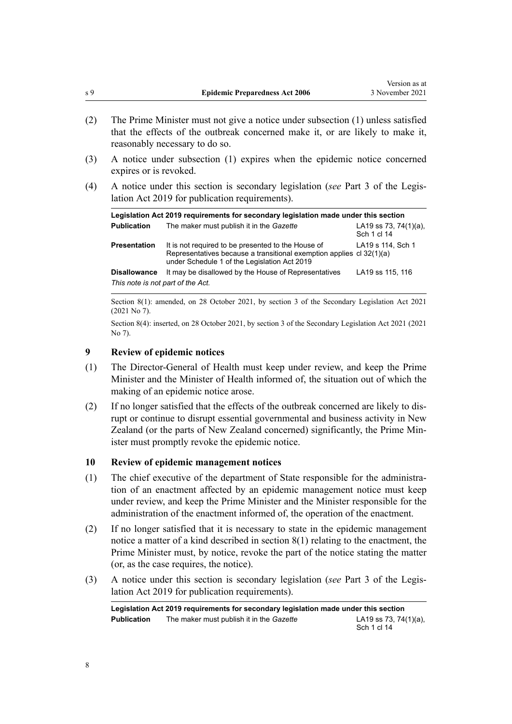- (2) The Prime Minister must not give a notice under subsection (1) unless satisfied that the effects of the outbreak concerned make it, or are likely to make it, reasonably necessary to do so.
- (3) A notice under subsection (1) expires when the epidemic notice concerned expires or is revoked.
- (4) A notice under this section is secondary legislation (*see* [Part 3](http://legislation.govt.nz/pdflink.aspx?id=DLM7298343) of the Legis‐ lation Act 2019 for publication requirements).

| Legislation Act 2019 requirements for secondary legislation made under this section |                                                                                                                                                                            |                                          |  |
|-------------------------------------------------------------------------------------|----------------------------------------------------------------------------------------------------------------------------------------------------------------------------|------------------------------------------|--|
| <b>Publication</b>                                                                  | The maker must publish it in the Gazette                                                                                                                                   | LA19 ss 73, 74 $(1)(a)$ ,<br>Sch 1 cl 14 |  |
| <b>Presentation</b>                                                                 | It is not required to be presented to the House of<br>Representatives because a transitional exemption applies cl 32(1)(a)<br>under Schedule 1 of the Legislation Act 2019 | LA19 s 114, Sch 1                        |  |
| <b>Disallowance</b>                                                                 | It may be disallowed by the House of Representatives                                                                                                                       | LA19 ss 115, 116                         |  |
| This note is not part of the Act.                                                   |                                                                                                                                                                            |                                          |  |

Section 8(1): amended, on 28 October 2021, by [section 3](http://legislation.govt.nz/pdflink.aspx?id=LMS268932) of the Secondary Legislation Act 2021 (2021 No 7).

Section 8(4): inserted, on 28 October 2021, by [section 3](http://legislation.govt.nz/pdflink.aspx?id=LMS268932) of the Secondary Legislation Act 2021 (2021 No 7).

# **9 Review of epidemic notices**

- (1) The Director-General of Health must keep under review, and keep the Prime Minister and the Minister of Health informed of, the situation out of which the making of an epidemic notice arose.
- (2) If no longer satisfied that the effects of the outbreak concerned are likely to dis‐ rupt or continue to disrupt essential governmental and business activity in New Zealand (or the parts of New Zealand concerned) significantly, the Prime Min‐ ister must promptly revoke the epidemic notice.

# **10 Review of epidemic management notices**

- (1) The chief executive of the department of State responsible for the administration of an enactment affected by an epidemic management notice must keep under review, and keep the Prime Minister and the Minister responsible for the administration of the enactment informed of, the operation of the enactment.
- (2) If no longer satisfied that it is necessary to state in the epidemic management notice a matter of a kind described in [section 8\(1\)](#page-6-0) relating to the enactment, the Prime Minister must, by notice, revoke the part of the notice stating the matter (or, as the case requires, the notice).
- (3) A notice under this section is secondary legislation (*see* [Part 3](http://legislation.govt.nz/pdflink.aspx?id=DLM7298343) of the Legis‐ lation Act 2019 for publication requirements).

**Legislation Act 2019 requirements for secondary legislation made under this section Publication** The maker must publish it in the *Gazette* LA19 [ss 73](http://legislation.govt.nz/pdflink.aspx?id=LMS260120), [74\(1\)\(a\)](http://legislation.govt.nz/pdflink.aspx?id=LMS260122), Sch 1 [cl 14](http://legislation.govt.nz/pdflink.aspx?id=LMS208655)

<span id="page-7-0"></span>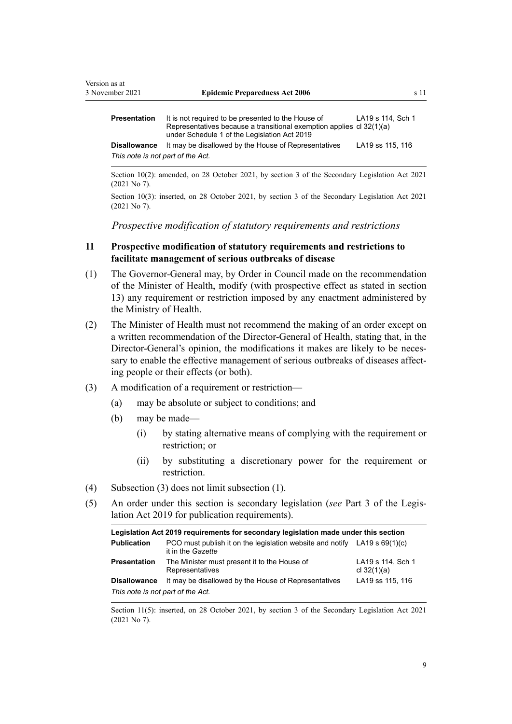<span id="page-8-0"></span>

| Presentation                      | It is not required to be presented to the House of<br>Representatives because a transitional exemption applies cl 32(1)(a)<br>under Schedule 1 of the Legislation Act 2019 | LA19 s 114, Sch 1 |
|-----------------------------------|----------------------------------------------------------------------------------------------------------------------------------------------------------------------------|-------------------|
| Disallowance                      | It may be disallowed by the House of Representatives                                                                                                                       | LA19 ss 115, 116  |
| This note is not part of the Act. |                                                                                                                                                                            |                   |

Section 10(2): amended, on 28 October 2021, by [section 3](http://legislation.govt.nz/pdflink.aspx?id=LMS268932) of the Secondary Legislation Act 2021 (2021 No 7).

Section 10(3): inserted, on 28 October 2021, by [section 3](http://legislation.govt.nz/pdflink.aspx?id=LMS268932) of the Secondary Legislation Act 2021 (2021 No 7).

*Prospective modification of statutory requirements and restrictions*

# **11 Prospective modification of statutory requirements and restrictions to facilitate management of serious outbreaks of disease**

- (1) The Governor-General may, by Order in Council made on the recommendation of the Minister of Health, modify (with prospective effect as stated in [section](#page-10-0) [13\)](#page-10-0) any requirement or restriction imposed by any enactment administered by the Ministry of Health.
- (2) The Minister of Health must not recommend the making of an order except on a written recommendation of the Director-General of Health, stating that, in the Director-General's opinion, the modifications it makes are likely to be necessary to enable the effective management of serious outbreaks of diseases affecting people or their effects (or both).
- (3) A modification of a requirement or restriction—
	- (a) may be absolute or subject to conditions; and
	- (b) may be made—
		- (i) by stating alternative means of complying with the requirement or restriction; or
		- (ii) by substituting a discretionary power for the requirement or restriction.
- (4) Subsection (3) does not limit subsection (1).
- (5) An order under this section is secondary legislation (*see* [Part 3](http://legislation.govt.nz/pdflink.aspx?id=DLM7298343) of the Legis‐ lation Act 2019 for publication requirements).

| Legislation Act 2019 requirements for secondary legislation made under this section |                                                                                                  |                                    |
|-------------------------------------------------------------------------------------|--------------------------------------------------------------------------------------------------|------------------------------------|
| <b>Publication</b>                                                                  | PCO must publish it on the legislation website and notify LA19 s $69(1)(c)$<br>it in the Gazette |                                    |
| <b>Presentation</b>                                                                 | The Minister must present it to the House of<br>Representatives                                  | LA19 s 114, Sch 1<br>cl $32(1)(a)$ |
| <b>Disallowance</b>                                                                 | It may be disallowed by the House of Representatives                                             | LA19 ss 115, 116                   |
| This note is not part of the Act.                                                   |                                                                                                  |                                    |

Section 11(5): inserted, on 28 October 2021, by [section 3](http://legislation.govt.nz/pdflink.aspx?id=LMS268932) of the Secondary Legislation Act 2021 (2021 No 7).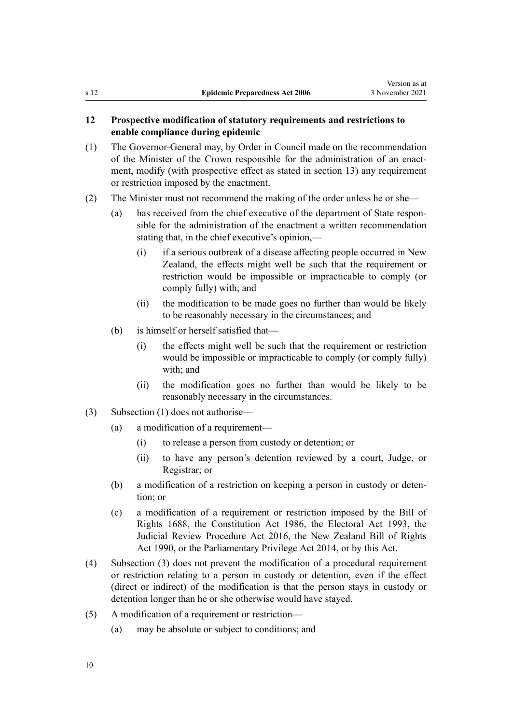# <span id="page-9-0"></span>**12 Prospective modification of statutory requirements and restrictions to enable compliance during epidemic**

- (1) The Governor-General may, by Order in Council made on the recommendation of the Minister of the Crown responsible for the administration of an enactment, modify (with prospective effect as stated in [section 13\)](#page-10-0) any requirement or restriction imposed by the enactment.
- (2) The Minister must not recommend the making of the order unless he or she—
	- (a) has received from the chief executive of the department of State respon‐ sible for the administration of the enactment a written recommendation stating that, in the chief executive's opinion,—
		- (i) if a serious outbreak of a disease affecting people occurred in New Zealand, the effects might well be such that the requirement or restriction would be impossible or impracticable to comply (or comply fully) with; and
		- (ii) the modification to be made goes no further than would be likely to be reasonably necessary in the circumstances; and
	- (b) is himself or herself satisfied that—
		- (i) the effects might well be such that the requirement or restriction would be impossible or impracticable to comply (or comply fully) with; and
		- (ii) the modification goes no further than would be likely to be reasonably necessary in the circumstances.
- (3) Subsection (1) does not authorise—
	- (a) a modification of a requirement—
		- (i) to release a person from custody or detention; or
		- (ii) to have any person's detention reviewed by a court, Judge, or Registrar; or
	- (b) a modification of a restriction on keeping a person in custody or deten‐ tion; or
	- (c) a modification of a requirement or restriction imposed by the [Bill of](http://legislation.govt.nz/pdflink.aspx?id=DLM10992) [Rights 1688,](http://legislation.govt.nz/pdflink.aspx?id=DLM10992) the [Constitution Act 1986](http://legislation.govt.nz/pdflink.aspx?id=DLM94203), the [Electoral Act 1993,](http://legislation.govt.nz/pdflink.aspx?id=DLM307518) the [Judicial Review Procedure Act 2016](http://legislation.govt.nz/pdflink.aspx?id=DLM6942104), the [New Zealand Bill of Rights](http://legislation.govt.nz/pdflink.aspx?id=DLM224791) [Act 1990,](http://legislation.govt.nz/pdflink.aspx?id=DLM224791) or the [Parliamentary Privilege Act 2014](http://legislation.govt.nz/pdflink.aspx?id=DLM6052000), or by this Act.
- (4) Subsection (3) does not prevent the modification of a procedural requirement or restriction relating to a person in custody or detention, even if the effect (direct or indirect) of the modification is that the person stays in custody or detention longer than he or she otherwise would have stayed.
- (5) A modification of a requirement or restriction—
	- (a) may be absolute or subject to conditions; and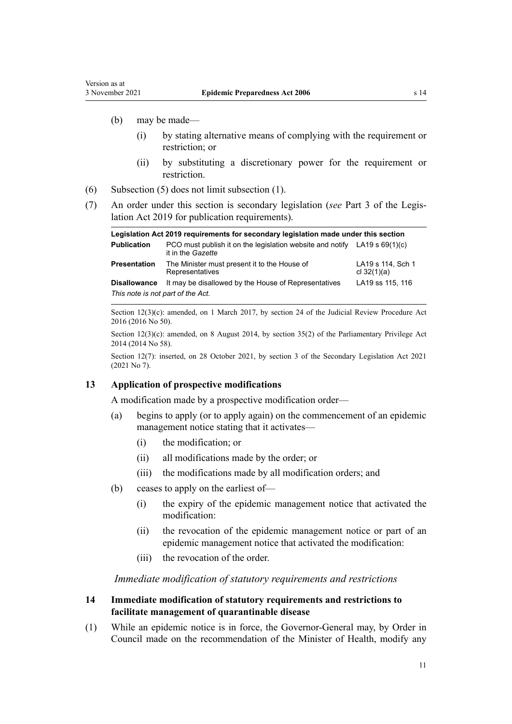- <span id="page-10-0"></span>(b) may be made—
	- (i) by stating alternative means of complying with the requirement or restriction; or
	- (ii) by substituting a discretionary power for the requirement or restriction.
- (6) Subsection (5) does not limit subsection (1).
- (7) An order under this section is secondary legislation (*see* [Part 3](http://legislation.govt.nz/pdflink.aspx?id=DLM7298343) of the Legis‐ lation Act 2019 for publication requirements).

| Legislation Act 2019 requirements for secondary legislation made under this section |                                                                                                |                                    |
|-------------------------------------------------------------------------------------|------------------------------------------------------------------------------------------------|------------------------------------|
| <b>Publication</b>                                                                  | PCO must publish it on the legislation website and notify LA19 s 69(1)(c)<br>it in the Gazette |                                    |
| <b>Presentation</b>                                                                 | The Minister must present it to the House of<br>Representatives                                | LA19 s 114, Sch 1<br>cl $32(1)(a)$ |
| <b>Disallowance</b>                                                                 | It may be disallowed by the House of Representatives                                           | LA19 ss 115, 116                   |
| This note is not part of the Act.                                                   |                                                                                                |                                    |

Section  $12(3)(c)$ : amended, on 1 March 2017, by [section 24](http://legislation.govt.nz/pdflink.aspx?id=DLM6942157) of the Judicial Review Procedure Act 2016 (2016 No 50).

Section 12(3)(c): amended, on 8 August 2014, by [section 35\(2\)](http://legislation.govt.nz/pdflink.aspx?id=DLM6136759) of the Parliamentary Privilege Act 2014 (2014 No 58).

Section 12(7): inserted, on 28 October 2021, by [section 3](http://legislation.govt.nz/pdflink.aspx?id=LMS268932) of the Secondary Legislation Act 2021 (2021 No 7).

# **13 Application of prospective modifications**

A modification made by a prospective modification order—

- (a) begins to apply (or to apply again) on the commencement of an epidemic management notice stating that it activates—
	- (i) the modification; or
	- (ii) all modifications made by the order; or
	- (iii) the modifications made by all modification orders; and
- (b) ceases to apply on the earliest of—
	- (i) the expiry of the epidemic management notice that activated the modification:
	- (ii) the revocation of the epidemic management notice or part of an epidemic management notice that activated the modification:
	- (iii) the revocation of the order.

*Immediate modification of statutory requirements and restrictions*

# **14 Immediate modification of statutory requirements and restrictions to facilitate management of quarantinable disease**

(1) While an epidemic notice is in force, the Governor-General may, by Order in Council made on the recommendation of the Minister of Health, modify any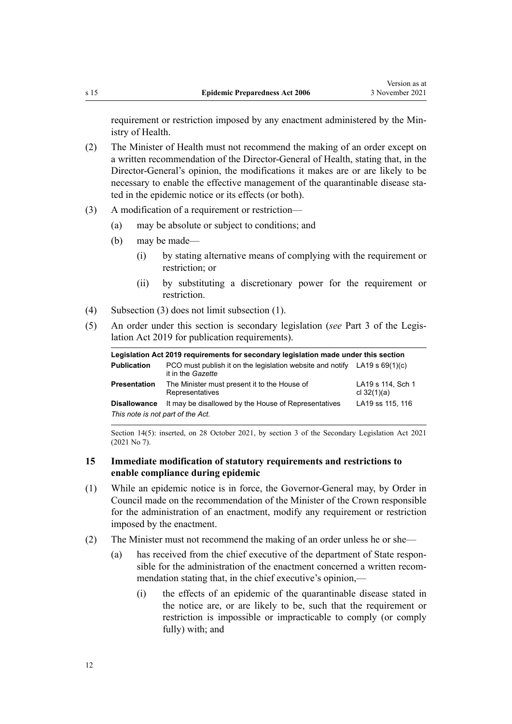<span id="page-11-0"></span>requirement or restriction imposed by any enactment administered by the Ministry of Health.

- (2) The Minister of Health must not recommend the making of an order except on a written recommendation of the Director-General of Health, stating that, in the Director-General's opinion, the modifications it makes are or are likely to be necessary to enable the effective management of the quarantinable disease stated in the epidemic notice or its effects (or both).
- (3) A modification of a requirement or restriction—
	- (a) may be absolute or subject to conditions; and
	- (b) may be made—
		- (i) by stating alternative means of complying with the requirement or restriction; or
		- (ii) by substituting a discretionary power for the requirement or restriction.
- (4) Subsection (3) does not limit subsection (1).
- (5) An order under this section is secondary legislation (*see* [Part 3](http://legislation.govt.nz/pdflink.aspx?id=DLM7298343) of the Legis‐ lation Act 2019 for publication requirements).

| Legislation Act 2019 requirements for secondary legislation made under this section |                                                                                                  |                                    |
|-------------------------------------------------------------------------------------|--------------------------------------------------------------------------------------------------|------------------------------------|
| <b>Publication</b>                                                                  | PCO must publish it on the legislation website and notify LA19 s $69(1)(c)$<br>it in the Gazette |                                    |
| <b>Presentation</b>                                                                 | The Minister must present it to the House of<br>Representatives                                  | LA19 s 114, Sch 1<br>cl $32(1)(a)$ |
| <b>Disallowance</b>                                                                 | It may be disallowed by the House of Representatives                                             | LA19 ss 115, 116                   |
| This note is not part of the Act.                                                   |                                                                                                  |                                    |

Section 14(5): inserted, on 28 October 2021, by [section 3](http://legislation.govt.nz/pdflink.aspx?id=LMS268932) of the Secondary Legislation Act 2021 (2021 No 7).

# **15 Immediate modification of statutory requirements and restrictions to enable compliance during epidemic**

- (1) While an epidemic notice is in force, the Governor-General may, by Order in Council made on the recommendation of the Minister of the Crown responsible for the administration of an enactment, modify any requirement or restriction imposed by the enactment.
- (2) The Minister must not recommend the making of an order unless he or she—
	- (a) has received from the chief executive of the department of State respon‐ sible for the administration of the enactment concerned a written recommendation stating that, in the chief executive's opinion,—
		- (i) the effects of an epidemic of the quarantinable disease stated in the notice are, or are likely to be, such that the requirement or restriction is impossible or impracticable to comply (or comply fully) with; and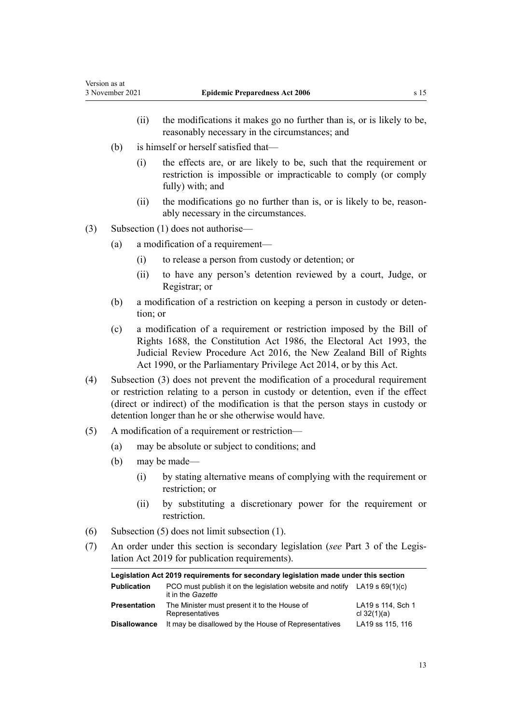- (ii) the modifications it makes go no further than is, or is likely to be, reasonably necessary in the circumstances; and
- (b) is himself or herself satisfied that—
	- (i) the effects are, or are likely to be, such that the requirement or restriction is impossible or impracticable to comply (or comply fully) with; and
	- (ii) the modifications go no further than is, or is likely to be, reasonably necessary in the circumstances.
- (3) Subsection (1) does not authorise—
	- (a) a modification of a requirement—
		- (i) to release a person from custody or detention; or
		- (ii) to have any person's detention reviewed by a court, Judge, or Registrar; or
	- (b) a modification of a restriction on keeping a person in custody or deten‐ tion; or
	- (c) a modification of a requirement or restriction imposed by the [Bill of](http://legislation.govt.nz/pdflink.aspx?id=DLM10992) [Rights 1688,](http://legislation.govt.nz/pdflink.aspx?id=DLM10992) the [Constitution Act 1986](http://legislation.govt.nz/pdflink.aspx?id=DLM94203), the [Electoral Act 1993,](http://legislation.govt.nz/pdflink.aspx?id=DLM307518) the [Judicial Review Procedure Act 2016](http://legislation.govt.nz/pdflink.aspx?id=DLM6942104), the [New Zealand Bill of Rights](http://legislation.govt.nz/pdflink.aspx?id=DLM224791) [Act 1990,](http://legislation.govt.nz/pdflink.aspx?id=DLM224791) or the [Parliamentary Privilege Act 2014](http://legislation.govt.nz/pdflink.aspx?id=DLM6052000), or by this Act.
- (4) Subsection (3) does not prevent the modification of a procedural requirement or restriction relating to a person in custody or detention, even if the effect (direct or indirect) of the modification is that the person stays in custody or detention longer than he or she otherwise would have.
- (5) A modification of a requirement or restriction—
	- (a) may be absolute or subject to conditions; and
	- (b) may be made—
		- (i) by stating alternative means of complying with the requirement or restriction; or
		- (ii) by substituting a discretionary power for the requirement or restriction.
- (6) Subsection (5) does not limit subsection (1).
- (7) An order under this section is secondary legislation (*see* [Part 3](http://legislation.govt.nz/pdflink.aspx?id=DLM7298343) of the Legis‐ lation Act 2019 for publication requirements).

| Legislation Act 2019 requirements for secondary legislation made under this section |                                                                                                         |                                    |
|-------------------------------------------------------------------------------------|---------------------------------------------------------------------------------------------------------|------------------------------------|
| <b>Publication</b>                                                                  | PCO must publish it on the legislation website and notify LA19 s $69(1)(c)$<br>it in the <i>Gazette</i> |                                    |
| <b>Presentation</b>                                                                 | The Minister must present it to the House of<br>Representatives                                         | LA19 s 114, Sch 1<br>cl $32(1)(a)$ |
| <b>Disallowance</b>                                                                 | It may be disallowed by the House of Representatives                                                    | LA19 ss 115, 116                   |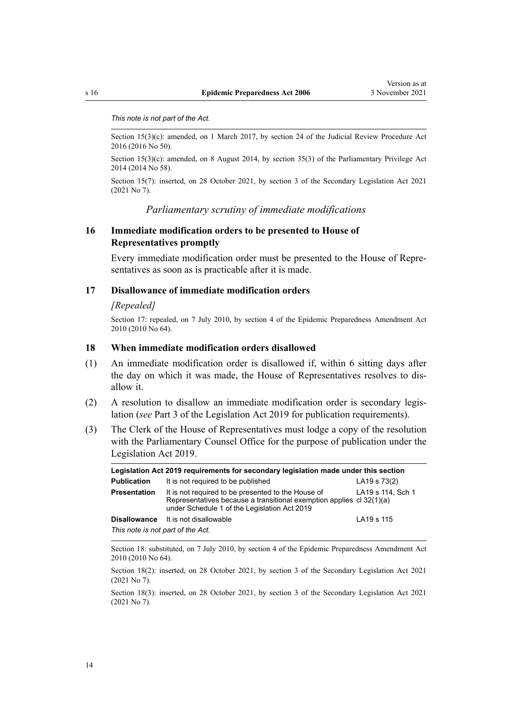#### <span id="page-13-0"></span>*This note is not part of the Act.*

Section 15(3)(c): amended, on 1 March 2017, by [section 24](http://legislation.govt.nz/pdflink.aspx?id=DLM6942157) of the Judicial Review Procedure Act 2016 (2016 No 50).

Section  $15(3)(c)$ : amended, on 8 August 2014, by [section 35\(3\)](http://legislation.govt.nz/pdflink.aspx?id=DLM6136759) of the Parliamentary Privilege Act 2014 (2014 No 58).

Section 15(7): inserted, on 28 October 2021, by [section 3](http://legislation.govt.nz/pdflink.aspx?id=LMS268932) of the Secondary Legislation Act 2021 (2021 No 7).

## *Parliamentary scrutiny of immediate modifications*

# **16 Immediate modification orders to be presented to House of Representatives promptly**

Every immediate modification order must be presented to the House of Repre‐ sentatives as soon as is practicable after it is made.

### **17 Disallowance of immediate modification orders**

### *[Repealed]*

Section 17: repealed, on 7 July 2010, by [section 4](http://legislation.govt.nz/pdflink.aspx?id=DLM3042005) of the Epidemic Preparedness Amendment Act 2010 (2010 No 64).

# **18 When immediate modification orders disallowed**

- (1) An immediate modification order is disallowed if, within 6 sitting days after the day on which it was made, the House of Representatives resolves to dis‐ allow it.
- (2) A resolution to disallow an immediate modification order is secondary legis‐ lation (*see* [Part 3](http://legislation.govt.nz/pdflink.aspx?id=DLM7298343) of the Legislation Act 2019 for publication requirements).
- (3) The Clerk of the House of Representatives must lodge a copy of the resolution with the Parliamentary Counsel Office for the purpose of publication under the [Legislation Act 2019](http://legislation.govt.nz/pdflink.aspx?id=DLM7298104).

| Legislation Act 2019 requirements for secondary legislation made under this section |                                                                                                                                                                            |                   |
|-------------------------------------------------------------------------------------|----------------------------------------------------------------------------------------------------------------------------------------------------------------------------|-------------------|
| <b>Publication</b>                                                                  | It is not required to be published                                                                                                                                         | LA19 s 73(2)      |
| <b>Presentation</b>                                                                 | It is not required to be presented to the House of<br>Representatives because a transitional exemption applies cl 32(1)(a)<br>under Schedule 1 of the Legislation Act 2019 | LA19 s 114, Sch 1 |
|                                                                                     | <b>Disallowance</b> It is not disallowable                                                                                                                                 | LA19 s 115        |
| This note is not part of the Act.                                                   |                                                                                                                                                                            |                   |

Section 18: substituted, on 7 July 2010, by [section 4](http://legislation.govt.nz/pdflink.aspx?id=DLM3042005) of the Epidemic Preparedness Amendment Act 2010 (2010 No 64).

Section 18(2): inserted, on 28 October 2021, by [section 3](http://legislation.govt.nz/pdflink.aspx?id=LMS268932) of the Secondary Legislation Act 2021 (2021 No 7).

Section 18(3): inserted, on 28 October 2021, by [section 3](http://legislation.govt.nz/pdflink.aspx?id=LMS268932) of the Secondary Legislation Act 2021 (2021 No 7).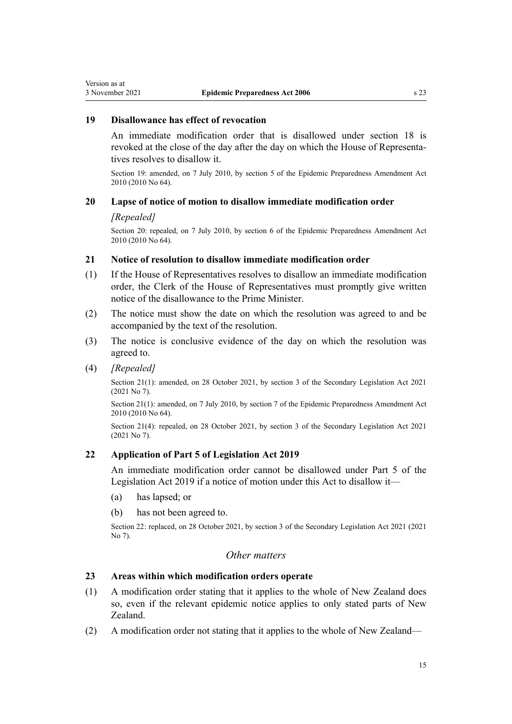# <span id="page-14-0"></span>**19 Disallowance has effect of revocation**

An immediate modification order that is disallowed under [section 18](#page-13-0) is revoked at the close of the day after the day on which the House of Representa‐ tives resolves to disallow it.

Section 19: amended, on 7 July 2010, by [section 5](http://legislation.govt.nz/pdflink.aspx?id=DLM3042007) of the Epidemic Preparedness Amendment Act 2010 (2010 No 64).

# **20 Lapse of notice of motion to disallow immediate modification order**

# *[Repealed]*

Section 20: repealed, on 7 July 2010, by [section 6](http://legislation.govt.nz/pdflink.aspx?id=DLM3042008) of the Epidemic Preparedness Amendment Act 2010 (2010 No 64).

# **21 Notice of resolution to disallow immediate modification order**

- (1) If the House of Representatives resolves to disallow an immediate modification order, the Clerk of the House of Representatives must promptly give written notice of the disallowance to the Prime Minister.
- (2) The notice must show the date on which the resolution was agreed to and be accompanied by the text of the resolution.
- (3) The notice is conclusive evidence of the day on which the resolution was agreed to.
- (4) *[Repealed]*

Section 21(1): amended, on 28 October 2021, by [section 3](http://legislation.govt.nz/pdflink.aspx?id=LMS268932) of the Secondary Legislation Act 2021 (2021 No 7).

Section 21(1): amended, on 7 July 2010, by [section 7](http://legislation.govt.nz/pdflink.aspx?id=DLM3042009) of the Epidemic Preparedness Amendment Act 2010 (2010 No 64).

Section 21(4): repealed, on 28 October 2021, by [section 3](http://legislation.govt.nz/pdflink.aspx?id=LMS268932) of the Secondary Legislation Act 2021 (2021 No 7).

# **22 Application of Part 5 of Legislation Act 2019**

An immediate modification order cannot be disallowed under [Part 5](http://legislation.govt.nz/pdflink.aspx?id=DLM7298426) of the Legislation Act 2019 if a notice of motion under this Act to disallow it—

- (a) has lapsed; or
- (b) has not been agreed to.

Section 22: replaced, on 28 October 2021, by [section 3](http://legislation.govt.nz/pdflink.aspx?id=LMS268932) of the Secondary Legislation Act 2021 (2021 No 7).

# *Other matters*

# **23 Areas within which modification orders operate**

- (1) A modification order stating that it applies to the whole of New Zealand does so, even if the relevant epidemic notice applies to only stated parts of New Zealand.
- (2) A modification order not stating that it applies to the whole of New Zealand—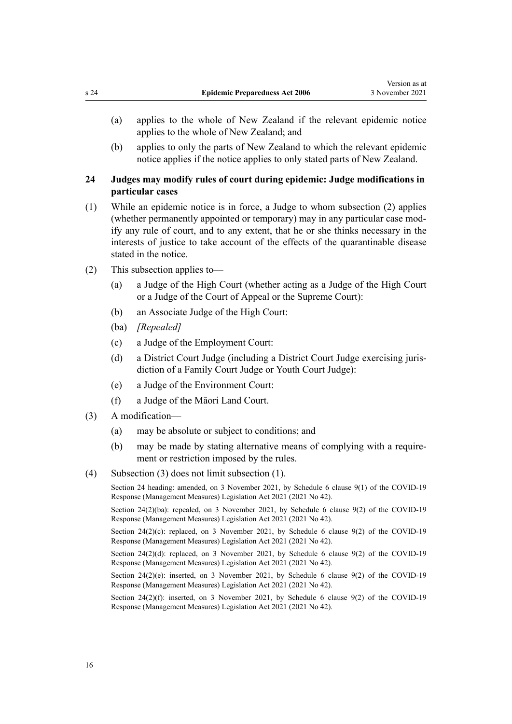- <span id="page-15-0"></span>(a) applies to the whole of New Zealand if the relevant epidemic notice applies to the whole of New Zealand; and
- (b) applies to only the parts of New Zealand to which the relevant epidemic notice applies if the notice applies to only stated parts of New Zealand.

# **24 Judges may modify rules of court during epidemic: Judge modifications in particular cases**

- (1) While an epidemic notice is in force, a Judge to whom subsection (2) applies (whether permanently appointed or temporary) may in any particular case mod‐ ify any rule of court, and to any extent, that he or she thinks necessary in the interests of justice to take account of the effects of the quarantinable disease stated in the notice.
- (2) This subsection applies to—
	- (a) a Judge of the High Court (whether acting as a Judge of the High Court or a Judge of the Court of Appeal or the Supreme Court):
	- (b) an Associate Judge of the High Court:
	- (ba) *[Repealed]*
	- (c) a Judge of the Employment Court:
	- (d) a District Court Judge (including a District Court Judge exercising juris‐ diction of a Family Court Judge or Youth Court Judge):
	- (e) a Judge of the Environment Court:
	- (f) a Judge of the Māori Land Court.
- (3) A modification—
	- (a) may be absolute or subject to conditions; and
	- (b) may be made by stating alternative means of complying with a requirement or restriction imposed by the rules.
- (4) Subsection (3) does not limit subsection (1).

Section 24 heading: amended, on 3 November 2021, by Schedule 6 [clause 9\(1\)](http://legislation.govt.nz/pdflink.aspx?id=LMS558252) of the COVID-19 Response (Management Measures) Legislation Act 2021 (2021 No 42).

Section 24(2)(ba): repealed, on 3 November 2021, by Schedule 6 [clause 9\(2\)](http://legislation.govt.nz/pdflink.aspx?id=LMS558252) of the COVID-19 Response (Management Measures) Legislation Act 2021 (2021 No 42).

Section  $24(2)(c)$ : replaced, on 3 November 2021, by Schedule 6 [clause 9\(2\)](http://legislation.govt.nz/pdflink.aspx?id=LMS558252) of the COVID-19 Response (Management Measures) Legislation Act 2021 (2021 No 42).

Section 24(2)(d): replaced, on 3 November 2021, by Schedule 6 [clause 9\(2\)](http://legislation.govt.nz/pdflink.aspx?id=LMS558252) of the COVID-19 Response (Management Measures) Legislation Act 2021 (2021 No 42).

Section  $24(2)(e)$ : inserted, on 3 November 2021, by Schedule 6 [clause 9\(2\)](http://legislation.govt.nz/pdflink.aspx?id=LMS558252) of the COVID-19 Response (Management Measures) Legislation Act 2021 (2021 No 42).

Section 24(2)(f): inserted, on 3 November 2021, by Schedule 6 [clause 9\(2\)](http://legislation.govt.nz/pdflink.aspx?id=LMS558252) of the COVID-19 Response (Management Measures) Legislation Act 2021 (2021 No 42).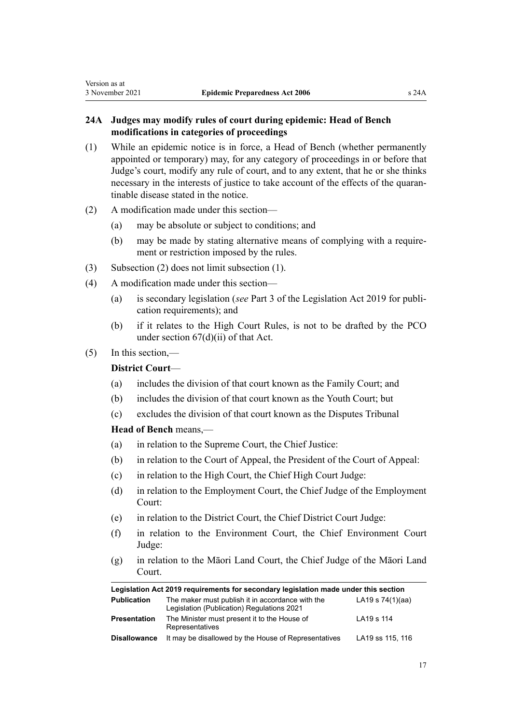# <span id="page-16-0"></span>**24A Judges may modify rules of court during epidemic: Head of Bench modifications in categories of proceedings**

- (1) While an epidemic notice is in force, a Head of Bench (whether permanently appointed or temporary) may, for any category of proceedings in or before that Judge's court, modify any rule of court, and to any extent, that he or she thinks necessary in the interests of justice to take account of the effects of the quaran‐ tinable disease stated in the notice.
- (2) A modification made under this section—
	- (a) may be absolute or subject to conditions; and
	- (b) may be made by stating alternative means of complying with a requirement or restriction imposed by the rules.
- (3) Subsection (2) does not limit subsection (1).
- (4) A modification made under this section—
	- (a) is secondary legislation (*see* [Part 3](http://legislation.govt.nz/pdflink.aspx?id=DLM7298343) of the Legislation Act 2019 for publi‐ cation requirements); and
	- (b) if it relates to the High Court Rules, is not to be drafted by the PCO under [section 67\(d\)\(ii\)](http://legislation.govt.nz/pdflink.aspx?id=DLM7298346) of that Act.

# (5) In this section,—

# **District Court**—

- (a) includes the division of that court known as the Family Court; and
- (b) includes the division of that court known as the Youth Court; but
- (c) excludes the division of that court known as the Disputes Tribunal

# **Head of Bench** means,—

- (a) in relation to the Supreme Court, the Chief Justice:
- (b) in relation to the Court of Appeal, the President of the Court of Appeal:
- (c) in relation to the High Court, the Chief High Court Judge:
- (d) in relation to the Employment Court, the Chief Judge of the Employment Court:
- (e) in relation to the District Court, the Chief District Court Judge:
- (f) in relation to the Environment Court, the Chief Environment Court Judge:
- (g) in relation to the Māori Land Court, the Chief Judge of the Māori Land Court.

| Legislation Act 2019 requirements for secondary legislation made under this section |                                                                                                |                  |
|-------------------------------------------------------------------------------------|------------------------------------------------------------------------------------------------|------------------|
| <b>Publication</b>                                                                  | The maker must publish it in accordance with the<br>Legislation (Publication) Regulations 2021 | LA19 s 74(1)(aa) |
| <b>Presentation</b>                                                                 | The Minister must present it to the House of<br>Representatives                                | LA19 s 114       |
| <b>Disallowance</b>                                                                 | It may be disallowed by the House of Representatives                                           | LA19 ss 115, 116 |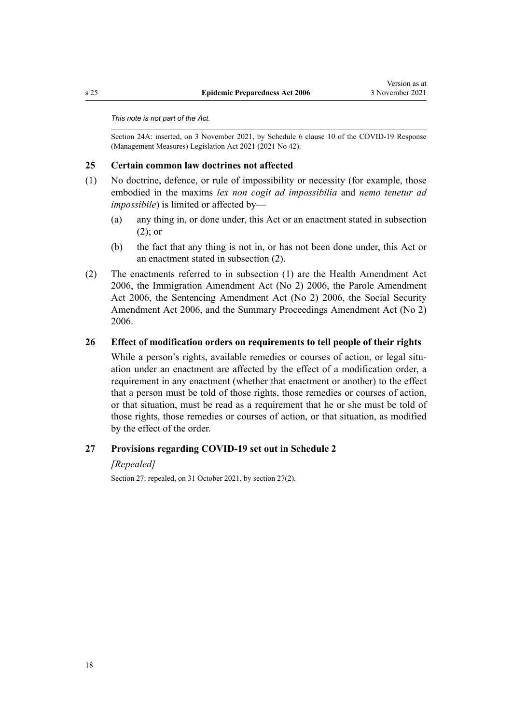#### <span id="page-17-0"></span>*This note is not part of the Act.*

Section 24A: inserted, on 3 November 2021, by Schedule 6 [clause 10](http://legislation.govt.nz/pdflink.aspx?id=LMS565033) of the COVID-19 Response (Management Measures) Legislation Act 2021 (2021 No 42).

# **25 Certain common law doctrines not affected**

- (1) No doctrine, defence, or rule of impossibility or necessity (for example, those embodied in the maxims *lex non cogit ad impossibilia* and *nemo tenetur ad impossibile*) is limited or affected by—
	- (a) any thing in, or done under, this Act or an enactment stated in subsection (2); or
	- (b) the fact that any thing is not in, or has not been done under, this Act or an enactment stated in subsection (2).
- (2) The enactments referred to in subsection (1) are the [Health Amendment Act](http://legislation.govt.nz/pdflink.aspx?id=DLM404611) [2006](http://legislation.govt.nz/pdflink.aspx?id=DLM404611), the [Immigration Amendment Act \(No 2\) 2006](http://legislation.govt.nz/pdflink.aspx?id=DLM404659), the [Parole Amendment](http://legislation.govt.nz/pdflink.aspx?id=DLM404679) [Act 2006](http://legislation.govt.nz/pdflink.aspx?id=DLM404679), the [Sentencing Amendment Act \(No 2\) 2006](http://legislation.govt.nz/pdflink.aspx?id=DLM404703), the [Social Security](http://legislation.govt.nz/pdflink.aspx?id=DLM404721) [Amendment Act 2006,](http://legislation.govt.nz/pdflink.aspx?id=DLM404721) and the [Summary Proceedings Amendment Act \(No 2\)](http://legislation.govt.nz/pdflink.aspx?id=DLM404744) [2006](http://legislation.govt.nz/pdflink.aspx?id=DLM404744).

#### **26 Effect of modification orders on requirements to tell people of their rights**

While a person's rights, available remedies or courses of action, or legal situation under an enactment are affected by the effect of a modification order, a requirement in any enactment (whether that enactment or another) to the effect that a person must be told of those rights, those remedies or courses of action, or that situation, must be read as a requirement that he or she must be told of those rights, those remedies or courses of action, or that situation, as modified by the effect of the order.

# **27 Provisions regarding COVID-19 set out in Schedule 2**

#### *[Repealed]*

Section 27: repealed, on 31 October 2021, by section 27(2).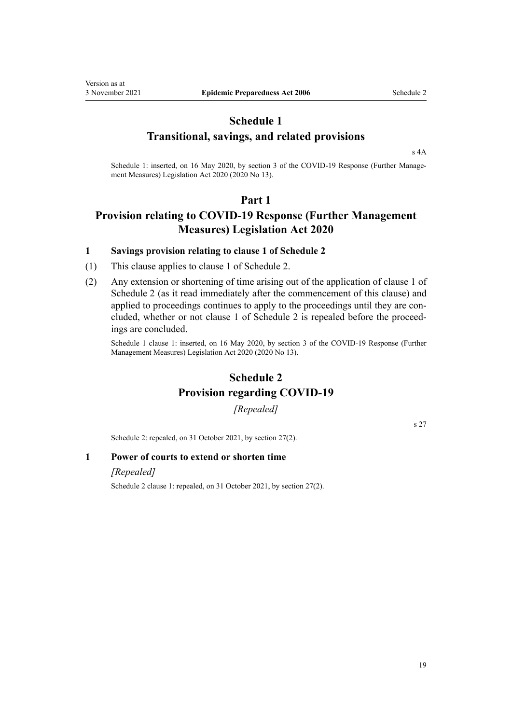# **Schedule 1 Transitional, savings, and related provisions**

[s 4A](#page-3-0)

Schedule 1: inserted, on 16 May 2020, by [section 3](http://legislation.govt.nz/pdflink.aspx?id=LMS339374) of the COVID-19 Response (Further Management Measures) Legislation Act 2020 (2020 No 13).

# **Part 1**

# **Provision relating to COVID-19 Response (Further Management Measures) Legislation Act 2020**

# **1 Savings provision relating to clause 1 of Schedule 2**

- (1) This clause applies to clause 1 of Schedule 2.
- (2) Any extension or shortening of time arising out of the application of clause 1 of Schedule 2 (as it read immediately after the commencement of this clause) and applied to proceedings continues to apply to the proceedings until they are concluded, whether or not clause 1 of Schedule 2 is repealed before the proceedings are concluded.

Schedule 1 clause 1: inserted, on 16 May 2020, by [section 3](http://legislation.govt.nz/pdflink.aspx?id=LMS339374) of the COVID-19 Response (Further Management Measures) Legislation Act 2020 (2020 No 13).

# **Schedule 2 Provision regarding COVID-19**

*[Repealed]*

[s 27](#page-17-0)

Schedule 2: repealed, on 31 October 2021, by [section 27\(2\)](#page-17-0).

# **1 Power of courts to extend or shorten time**

#### *[Repealed]*

<span id="page-18-0"></span>Version as at

Schedule 2 clause 1: repealed, on 31 October 2021, by [section 27\(2\).](#page-17-0)